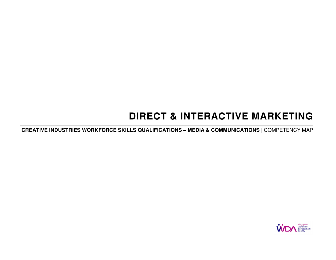# **DIRECT & INTERACTIVE MARKETING**

**CREATIVE INDUSTRIES WORKFORCE SKILLS QUALIFICATIONS – MEDIA & COMMUNICATIONS** | COMPETENCY MAP

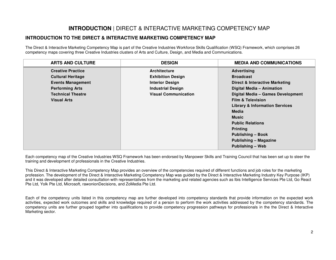## **INTRODUCTION** | DIRECT & INTERACTIVE MARKETING COMPETENCY MAP

### **INTRODUCTION TO THE DIRECT & INTERACTIVE MARKETING COMPETENCY MAP**

The Direct & Interactive Marketing Competency Map is part of the Creative Industries Workforce Skills Qualification (WSQ) Framework, which comprises 26 competency maps covering three Creative Industries clusters of Arts and Culture, Design, and Media and Communications.

| <b>ARTS AND CULTURE</b>  | <b>DESIGN</b>               | <b>MEDIA AND COMMUNICATIONS</b>           |
|--------------------------|-----------------------------|-------------------------------------------|
| <b>Creative Practice</b> | <b>Architecture</b>         | <b>Advertising</b>                        |
| <b>Cultural Heritage</b> | <b>Exhibition Design</b>    | <b>Broadcast</b>                          |
| <b>Events Management</b> | <b>Interior Design</b>      | Direct & Interactive Marketing            |
| <b>Performing Arts</b>   | <b>Industrial Design</b>    | Digital Media - Animation                 |
| <b>Technical Theatre</b> | <b>Visual Communication</b> | Digital Media - Games Development         |
| <b>Visual Arts</b>       |                             | <b>Film &amp; Television</b>              |
|                          |                             | <b>Library &amp; Information Services</b> |
|                          |                             | <b>Media</b>                              |
|                          |                             | <b>Music</b>                              |
|                          |                             | <b>Public Relations</b>                   |
|                          |                             | <b>Printing</b>                           |
|                          |                             | <b>Publishing - Book</b>                  |
|                          |                             | <b>Publishing - Magazine</b>              |
|                          |                             | Publishing - Web                          |

Each competency map of the Creative Industries WSQ Framework has been endorsed by Manpower Skills and Training Council that has been set up to steer the training and development of professionals in the Creative Industries.

This Direct & Interactive Marketing Competency Map provides an overview of the competencies required of different functions and job roles for the marketing profession. The development of the Direct & Interactive Marketing Competency Map was guided by the Direct & Interactive Marketing Industry Key Purpose (IKP) and it was developed after detailed consultation with representatives from the marketing and related agencies such as Ibis Intelligence Services Pte Ltd, Go React Pte Ltd, Yolk Pte Ltd, Microsoft, rawonionDecisions, and ZoMedia Pte Ltd.

Each of the competency units listed in this competency map are further developed into competency standards that provide information on the expected work activities, expected work outcomes and skills and knowledge required of a person to perform the work activities addressed by the competency standards. The competency units are further grouped together into qualifications to provide competency progression pathways for professionals in the the Direct & Interactive Marketing sector.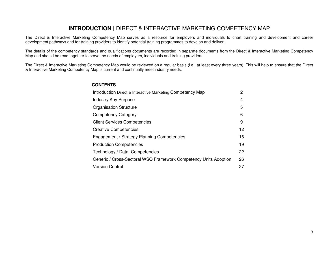### **INTRODUCTION |** DIRECT & INTERACTIVE MARKETING COMPETENCY MAP

The Direct & Interactive Marketing Competency Map serves as a resource for employers and individuals to chart training and development and career development pathways and for training providers to identify potential training programmes to develop and deliver.

The details of the competency standards and qualifications documents are recorded in separate documents from the Direct & Interactive Marketing Competency Map and should be read together to serve the needs of employers, individuals and training providers.

The Direct & Interactive Marketing Competency Map would be reviewed on a regular basis (i.e., at least every three years). This will help to ensure that the Direct & Interactive Marketing Competency Map is current and continually meet industry needs.

#### **CONTENTS**

| Introduction Direct & Interactive Marketing Competency Map       | 2  |
|------------------------------------------------------------------|----|
| <b>Industry Key Purpose</b>                                      | 4  |
| <b>Organisation Structure</b>                                    | 5  |
| <b>Competency Category</b>                                       | 6  |
| <b>Client Services Competencies</b>                              | 9  |
| <b>Creative Competencies</b>                                     | 12 |
| Engagement / Strategy Planning Competencies                      | 16 |
| <b>Production Competencies</b>                                   | 19 |
| Technology / Data Competencies                                   | 22 |
| Generic / Cross-Sectoral WSQ Framework Competency Units Adoption | 26 |
| <b>Version Control</b>                                           | 27 |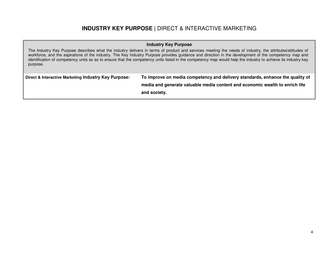### **INDUSTRY KEY PURPOSE |** DIRECT & INTERACTIVE MARKETING

### **Industry Key Purpose**

The Industry Key Purpose describes what the industry delivers in terms of product and services meeting the needs of industry, the attributes/attitudes of workforce, and the aspirations of the industry. The Key Industry Purpose provides guidance and direction in the development of the competency map and identification of competency units so as to ensure that the competency units listed in the competency map would help the industry to achieve its industry key purpose.

| Direct & Interactive Marketing Industry Key Purpose: | To improve on media competency and delivery standards, enhance the quality of |
|------------------------------------------------------|-------------------------------------------------------------------------------|
|                                                      | media and generate valuable media content and economic wealth to enrich life  |
|                                                      | and society.                                                                  |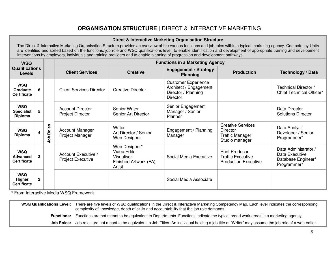## **ORGANISATION STRUCTURE |** DIRECT & INTERACTIVE MARKETING

### **Direct & Interactive Marketing Organisation Structure**

The Direct & Interactive Marketing Organisation Structure provides an overview of the various functions and job roles within a typical marketing agency. Competency Units are identified and sorted based on the functions, job role and WSQ qualifications level, to enable identification and development of appropriate training and development interventions by employers, individuals and training providers and to enable planning of progression and development pathways.

| <b>WSQ</b><br><b>Qualifications</b><br><b>Levels</b> |                |                  | <b>Functions in a Marketing Agency</b>                                                       |                                                                                       |                                                                                         |                                                                                  |                                                                             |  |  |
|------------------------------------------------------|----------------|------------------|----------------------------------------------------------------------------------------------|---------------------------------------------------------------------------------------|-----------------------------------------------------------------------------------------|----------------------------------------------------------------------------------|-----------------------------------------------------------------------------|--|--|
|                                                      |                |                  | <b>Engagement / Strategy</b><br><b>Client Services</b><br><b>Creative</b><br><b>Planning</b> |                                                                                       | <b>Production</b>                                                                       | Technology / Data                                                                |                                                                             |  |  |
| <b>WSQ</b><br>Graduate<br><b>Certificate</b>         | 6.             |                  | <b>Client Services Director</b>                                                              | <b>Creative Director</b>                                                              | <b>Customer Experience</b><br>Architect / Engagement<br>Director / Planning<br>Director |                                                                                  | Technical Director /<br>Chief Technical Officer*                            |  |  |
| <b>WSQ</b><br><b>Specialist</b><br><b>Diploma</b>    | 5              |                  | <b>Account Director</b><br><b>Project Director</b>                                           | <b>Senior Writer</b><br>Senior Art Director                                           | Senior Engagement<br>Manager / Senior<br><b>Planner</b>                                 |                                                                                  | Data Director<br><b>Solutions Director</b>                                  |  |  |
| <b>WSQ</b><br><b>Diploma</b>                         |                | <b>Job Roles</b> | <b>Account Manager</b><br>Project Manager                                                    | Writer<br>Art Director / Senior<br>Web Designer                                       | Engagement / Planning<br>Manager                                                        | <b>Creative Services</b><br>Director<br><b>Traffic Manager</b><br>Studio manager | Data Analyst<br>Developer / Senior<br>Programmer*                           |  |  |
| <b>WSQ</b><br><b>Advanced</b><br><b>Certificate</b>  | 3              |                  | Account Executive /<br><b>Project Executive</b>                                              | Web Designer*<br><b>Video Editor</b><br>Visualiser<br>Finished Artwork (FA)<br>Artist | Social Media Executive                                                                  | <b>Print Producer</b><br><b>Traffic Executive</b><br><b>Production Executive</b> | Data Administrator /<br>Data Executive<br>Database Engineer*<br>Programmer* |  |  |
| <b>WSQ</b><br><b>Higher</b><br><b>Certificate</b>    | $\overline{2}$ |                  |                                                                                              |                                                                                       | Social Media Associate                                                                  |                                                                                  |                                                                             |  |  |

**\*** From Interactive Media WSQ Framework

**WSQ Qualifications Level:** There are five levels of WSQ qualifications in the Direct & Interactive Marketing Competency Map. Each level indicates the corresponding complexity of knowledge, depth of skills and accountability that the job role demands. **Functions:** Functions are not meant to be equivalent to Departments. Functions indicate the typical broad work areas in a marketing agency. **Job Roles:** Job roles are not meant to be equivalent to Job Titles. An individual holding a job title of "Writer" may assume the job role of a web-editor.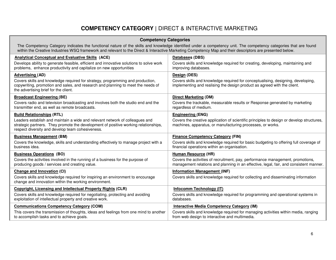## **COMPETENCY CATEGORY |** DIRECT & INTERACTIVE MARKETING

| <b>Competency Categories</b>                                                                                                                                                                                                                                                                                                  |                                                                                                                                                                          |  |  |  |  |  |
|-------------------------------------------------------------------------------------------------------------------------------------------------------------------------------------------------------------------------------------------------------------------------------------------------------------------------------|--------------------------------------------------------------------------------------------------------------------------------------------------------------------------|--|--|--|--|--|
| The Competency Category indicates the functional nature of the skills and knowledge identified under a competency unit. The competency categories that are found<br>within the Creative Industries WSQ framework and relevant to the Direct & Interactive Marketing Competency Map and their descriptors are presented below. |                                                                                                                                                                          |  |  |  |  |  |
| <b>Analytical Conceptual and Evaluative Skills (ACE)</b>                                                                                                                                                                                                                                                                      | Databases (DBS)                                                                                                                                                          |  |  |  |  |  |
| Develops ability to generate feasible, efficient and innovative solutions to solve work<br>problems, enhance productivity and capitalize on new opportunities                                                                                                                                                                 | Covers skills and knowledge required for creating, developing, maintaining and<br>improving databases.                                                                   |  |  |  |  |  |
| <b>Advertising (AD)</b>                                                                                                                                                                                                                                                                                                       | Design (DES)                                                                                                                                                             |  |  |  |  |  |
| Covers skills and knowledge required for strategy, programming and production,<br>copywriting, promotion and sales, and research and planning to meet the needs of<br>the advertising brief for the client.                                                                                                                   | Covers skills and knowledge required for conceptualising, designing, developing,<br>implementing and realising the design product as agreed with the client.             |  |  |  |  |  |
| <b>Broadcast Engineering (BE)</b>                                                                                                                                                                                                                                                                                             | <b>Direct Marketing (DM)</b>                                                                                                                                             |  |  |  |  |  |
| Covers radio and television broadcasting and involves both the studio end and the<br>transmitter end, as well as remote broadcasts.                                                                                                                                                                                           | Covers the trackable, measurable results or Response generated by marketing<br>regardless of medium.                                                                     |  |  |  |  |  |
| <b>Build Relationships (RTL)</b>                                                                                                                                                                                                                                                                                              | <b>Engineering (ENG)</b>                                                                                                                                                 |  |  |  |  |  |
| Leaders establish and maintain a wide and relevant network of colleagues and<br>strategic partners. They promote the development of positive working relationships,<br>respect diversity and develop team cohesiveness.                                                                                                       | Covers the creative application of scientific principles to design or develop structures,<br>machines, apparatus, or manufacturing processes, or works.                  |  |  |  |  |  |
| <b>Business Management (BM)</b>                                                                                                                                                                                                                                                                                               | <b>Finance Competency Category (FIN)</b>                                                                                                                                 |  |  |  |  |  |
| Covers the knowledge, skills and understanding effectively to manage project with a<br>business idea.                                                                                                                                                                                                                         | Covers skills and knowledge required for basic budgeting to offering full coverage of<br>financial operations within an organisation.                                    |  |  |  |  |  |
| <b>Business Operations (BO)</b>                                                                                                                                                                                                                                                                                               | Human Resource (HR)                                                                                                                                                      |  |  |  |  |  |
| Covers the activities involved in the running of a business for the purpose of<br>producing goods / services and creating value.                                                                                                                                                                                              | Covers the activities of recruitment, pay, performance management, promotions,<br>management relations and planning in an effective, legal, fair, and consistent manner. |  |  |  |  |  |
| <b>Change and Innovation (CI)</b>                                                                                                                                                                                                                                                                                             | <b>Information Management (INF)</b>                                                                                                                                      |  |  |  |  |  |
| Covers skills and knowledge required for inspiring an environment to encourage<br>change and innovation within the working environment.                                                                                                                                                                                       | Covers skills and knowledge required for collecting and disseminating information                                                                                        |  |  |  |  |  |
| <b>Copyright, Licensing and Intellectual Property Rights (CLR)</b>                                                                                                                                                                                                                                                            | Infocomm Technology (IT)                                                                                                                                                 |  |  |  |  |  |
| Covers skills and knowledge required for negotiating, protecting and avoiding<br>exploitation of intellectual property and creative work.                                                                                                                                                                                     | Covers skills and knowledge required for programming and operational systems in<br>databases.                                                                            |  |  |  |  |  |
| <b>Communications Competency Category (COM)</b>                                                                                                                                                                                                                                                                               | <b>Interactive Media Competency Category (IM)</b>                                                                                                                        |  |  |  |  |  |
| This covers the transmission of thoughts, ideas and feelings from one mind to another<br>to accomplish tasks and to achieve goals.                                                                                                                                                                                            | Covers skills and knowledge required for managing activities within media, ranging<br>from web design to interactive and multimedia.                                     |  |  |  |  |  |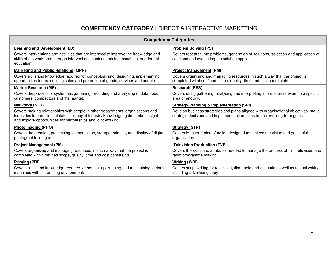## **COMPETENCY CATEGORY |** DIRECT & INTERACTIVE MARKETING

| <b>Competency Categories</b>                                                                                                                                                                                                            |                                                                                                                                                                 |  |  |  |  |
|-----------------------------------------------------------------------------------------------------------------------------------------------------------------------------------------------------------------------------------------|-----------------------------------------------------------------------------------------------------------------------------------------------------------------|--|--|--|--|
| <b>Learning and Development (LD)</b>                                                                                                                                                                                                    | <b>Problem Solving (PS)</b>                                                                                                                                     |  |  |  |  |
| Covers interventions and activities that are intended to improve the knowledge and<br>skills of the workforce through interventions such as training, coaching, and formal<br>education.                                                | Covers research into problems, generation of solutions, selection and application of<br>solutions and evaluating the solution applied.                          |  |  |  |  |
| <b>Marketing and Public Relations (MPR)</b>                                                                                                                                                                                             | <b>Project Management (PM)</b>                                                                                                                                  |  |  |  |  |
| Covers skills and knowledge required for conceptualising, designing, implementing<br>opportunities for maximising sales and promotion of goods, services and people.                                                                    | Covers organising and managing resources in such a way that the project is<br>completed within defined scope, quality, time and cost constraints.               |  |  |  |  |
| <b>Market Research (MR)</b>                                                                                                                                                                                                             | <b>Research (RES)</b>                                                                                                                                           |  |  |  |  |
| Covers the process of systematic gathering, recording and analysing of data about<br>customers, competitors and the market.                                                                                                             | Covers using gathering, analysing and interpreting information relevant to a specific<br>area of enguiry.                                                       |  |  |  |  |
| <b>Networks (NET)</b>                                                                                                                                                                                                                   | <b>Strategy Planning &amp; Implementation (SPI)</b>                                                                                                             |  |  |  |  |
| Covers making relationships with people in other departments, organisations and<br>industries in order to maintain currency of industry knowledge, gain market insight<br>and explore opportunities for partnerships and joint working. | Develop business strategies and plans aligned with organisational objectives, make<br>strategic decisions and implement action plans to achieve long-term goals |  |  |  |  |
| Photoimaging (PHO)                                                                                                                                                                                                                      | <b>Strategy (STR)</b>                                                                                                                                           |  |  |  |  |
| Covers the creation, processing, compression, storage, printing, and display of digital<br>photographic images.                                                                                                                         | Covers long term plan of action designed to achieve the vision and goals of the<br>organisation.                                                                |  |  |  |  |
| <b>Project Management (PM)</b>                                                                                                                                                                                                          | <b>Television Production (TVP)</b>                                                                                                                              |  |  |  |  |
| Covers organising and managing resources in such a way that the project is<br>completed within defined scope, quality, time and cost constraints.                                                                                       | Covers the skills and attributes needed to manage the process of film, television and<br>radio programme making.                                                |  |  |  |  |
| <b>Printing (PRI)</b>                                                                                                                                                                                                                   | Writing (WRI)                                                                                                                                                   |  |  |  |  |
| Covers skills and knowledge required for setting -up, running and maintaining various<br>machines within a printing environment.                                                                                                        | Covers script writing for television, film, radio and animation a well as factual writing<br>including advertising copy                                         |  |  |  |  |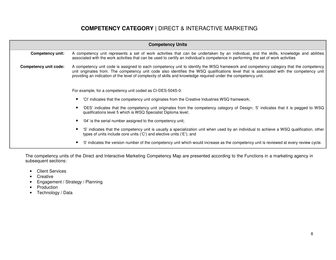## **COMPETENCY CATEGORY |** DIRECT & INTERACTIVE MARKETING

| <b>Competency Units</b>                                                                                                                                                                                                                                                                           |                                                                                                                                                                                                                                                                                                                                                                                                   |  |  |  |  |  |
|---------------------------------------------------------------------------------------------------------------------------------------------------------------------------------------------------------------------------------------------------------------------------------------------------|---------------------------------------------------------------------------------------------------------------------------------------------------------------------------------------------------------------------------------------------------------------------------------------------------------------------------------------------------------------------------------------------------|--|--|--|--|--|
| A competency unit represents a set of work activities that can be undertaken by an individual, and the skills, knowledge and abilities<br>Competency unit:<br>associated with the work activities that can be used to certify an individual's competence in performing the set of work activities |                                                                                                                                                                                                                                                                                                                                                                                                   |  |  |  |  |  |
| <b>Competency unit code:</b>                                                                                                                                                                                                                                                                      | A competency unit code is assigned to each competency unit to identify the WSQ framework and competency category that the competency<br>unit originates from. The competency unit code also identifies the WSQ qualifications level that is associated with the competency unit<br>providing an indication of the level of complexity of skills and knowledge required under the competency unit. |  |  |  |  |  |
|                                                                                                                                                                                                                                                                                                   | For example, for a competency unit coded as CI-DES-504S-0:                                                                                                                                                                                                                                                                                                                                        |  |  |  |  |  |
|                                                                                                                                                                                                                                                                                                   | 'Cl' indicates that the competency unit originates from the Creative Industries WSQ framework;                                                                                                                                                                                                                                                                                                    |  |  |  |  |  |
|                                                                                                                                                                                                                                                                                                   | 'DES' indicates that the competency unit originates from the competency category of Design; '5' indicates that it is pegged to WSQ<br>qualifications level 5 which is WSQ Specialist Diploma level;                                                                                                                                                                                               |  |  |  |  |  |
|                                                                                                                                                                                                                                                                                                   | '04' is the serial number assigned to the competency unit;                                                                                                                                                                                                                                                                                                                                        |  |  |  |  |  |
|                                                                                                                                                                                                                                                                                                   | 'S' indicates that the competency unit is usually a specialization unit when used by an individual to achieve a WSQ qualification, other<br>types of units include core units ('C') and elective units ('E'); and                                                                                                                                                                                 |  |  |  |  |  |
|                                                                                                                                                                                                                                                                                                   | '0' indicates the version number of the competency unit which would increase as the competency unit is reviewed at every review cycle.                                                                                                                                                                                                                                                            |  |  |  |  |  |

The competency units of the Direct and Interactive Marketing Competency Map are presented according to the Functions in a marketing agency in subsequent sections:

- Client Services
- Creative
- Engagement / Strategy / Planning
- Production
- Technology / Data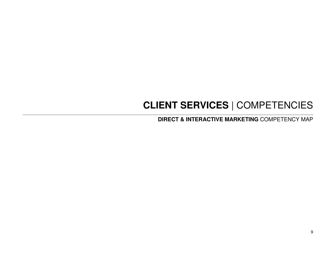# **CLIENT SERVICES** | COMPETENCIES

**DIRECT & INTERACTIVE MARKETING** COMPETENCY MAP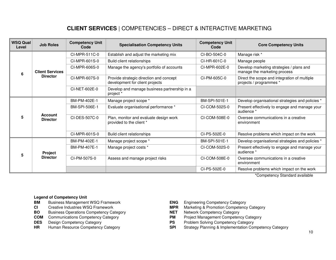## **CLIENT SERVICES** | COMPETENCIES – DIRECT & INTERACTIVE MARKETING

| <b>WSQ Qual</b><br>Level | <b>Job Roles</b>                  | <b>Competency Unit</b><br>Code | <b>Specialisation Competency Units</b>                                     | <b>Competency Unit</b><br>Code | <b>Core Competency Units</b>                                             |
|--------------------------|-----------------------------------|--------------------------------|----------------------------------------------------------------------------|--------------------------------|--------------------------------------------------------------------------|
|                          |                                   | CI-MPR-511C-0                  | Establish and adjust the marketing mix                                     | CI-BO-504C-0                   | Manage risk *                                                            |
|                          |                                   | CI-MPR-601S-0                  | Build client relationships                                                 | CI-HR-601C-0                   | Manage people                                                            |
| 6                        | <b>Client Services</b>            | CI-MPR-606S-0                  | Manage the agency's portfolio of accounts                                  | CI-MPR-602E-0                  | Develop marketing strategies / plans and<br>manage the marketing process |
|                          | <b>Director</b>                   | CI-MPR-607S-0                  | Provide strategic direction and concept<br>development for client projects | CI-PM-605C-0                   | Direct the scope and integration of multiple<br>projects / programmes *  |
|                          |                                   | CI-NET-602E-0                  | Develop and manage business partnership in a<br>project *                  |                                |                                                                          |
| 5                        | <b>Account</b><br><b>Director</b> | BM-PM-402E-1                   | Manage project scope *                                                     | BM-SPI-501E-1                  | Develop organisational strategies and policies *                         |
|                          |                                   | BM-SPI-506E-1                  | Evaluate organisational performance *                                      | CI-COM-502S-0                  | Present effectively to engage and manage your<br>audience *              |
|                          |                                   | CI-DES-507C-0                  | Plan, monitor and evaluate design work<br>provided to the client *         | CI-COM-508E-0                  | Oversee communications in a creative<br>environment                      |
|                          |                                   | CI-MPR-601S-0                  | Build client relationships                                                 | CI-PS-502E-0                   | Resolve problems which impact on the work                                |
|                          |                                   | BM-PM-402E-1                   | Manage project scope *                                                     | BM-SPI-501E-1                  | Develop organisational strategies and policies *                         |
| 5                        | Project                           | BM-PM-407E-1                   | Manage project costs *                                                     | CI-COM-502S-0                  | Present effectively to engage and manage your<br>audience *              |
|                          | <b>Director</b>                   | CI-PM-507S-0                   | Assess and manage project risks                                            | CI-COM-508E-0                  | Oversee communications in a creative<br>environment                      |
|                          |                                   |                                |                                                                            | CI-PS-502E-0                   | Resolve problems which impact on the work                                |

\*Competency Standard available

- **Business Management WSQ Framework BM** Business Management WSQ Framework **ENG** Engineering Competency Category
- 
- **BO** Business Operations Competency Category **NET** Network Competency Category
- **COM** Communications Competency Category **PM**
- 
- 
- 
- CI Creative Industries WSQ Framework **MPR** Marketing & Promotion Competency Category
	-
	- Project Management Competency Category
- **DES** Design Competency Category<br> **PS** Problem Solving Competency Category<br> **PS** Problem Solving Competency Competency Category<br> **PS** Strategy Planning & Implementation Cor
- **HR** Human Resource Competency Category **SPI** Strategy Planning & Implementation Competency Category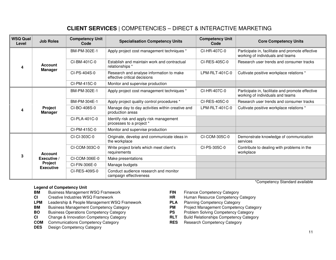## **CLIENT SERVICES** | COMPETENCIES – DIRECT & INTERACTIVE MARKETING

| <b>WSQ Qual</b><br>Level | <b>Job Roles</b>            | <b>Competency Unit</b><br>Code | <b>Specialisation Competency Units</b>                                   | <b>Competency Unit</b><br>Code | <b>Core Competency Units</b>                                                         |
|--------------------------|-----------------------------|--------------------------------|--------------------------------------------------------------------------|--------------------------------|--------------------------------------------------------------------------------------|
| 4                        |                             | BM-PM-302E-1                   | Apply project cost management techniques *                               | CI-HR-407C-0                   | Participate in, facilitate and promote effective<br>working of individuals and teams |
|                          | Account                     | CI-BM-401C-0                   | Establish and maintain work and contractual<br>relationships *           | CI-RES-405C-0                  | Research user trends and consumer tracks                                             |
|                          | <b>Manager</b>              | CI-PS-404S-0                   | Research and analyse information to make<br>effective critical decisions | $LPM-RLT-401C-0$               | Cultivate positive workplace relations *                                             |
|                          |                             | CI-PM-415C-0                   | Monitor and supervise production                                         |                                |                                                                                      |
|                          | Project<br><b>Manager</b>   | BM-PM-302E-1                   | Apply project cost management techniques *                               | CI-HR-407C-0                   | Participate in, facilitate and promote effective<br>working of individuals and teams |
|                          |                             | BM-PM-304E-1                   | Apply project quality control procedures *                               | CI-RES-405C-0                  | Research user trends and consumer tracks                                             |
| 4                        |                             | CI-BO-408S-0                   | Manage day to day activities within creative and<br>production areas     | $LPM-RLT-401C-0$               | Cultivate positive workplace relations *                                             |
|                          |                             | $CI-PLA-401C-0$                | Identify risk and apply risk management<br>processes to a project *      |                                |                                                                                      |
|                          |                             | CI-PM-415C-0                   | Monitor and supervise production                                         |                                |                                                                                      |
| 3                        |                             | CI-CI-303C-0                   | Originate, develop and communicate ideas in<br>the workplace             | CI-COM-305C-0                  | Demonstrate knowledge of communication<br>services                                   |
|                          | <b>Account</b>              | CI-COM-303C-0                  | Write project briefs which meet client's<br>requirements                 | CI-PS-305C-0                   | Contribute to dealing with problems in the<br>workplace                              |
|                          | Executive /                 | CI-COM-306E-0                  | Make presentations                                                       |                                |                                                                                      |
|                          | Project<br><b>Executive</b> | CI-FIN-306E-0                  | Manage budgets                                                           |                                |                                                                                      |
|                          |                             | CI-RES-409S-0                  | Conduct audience research and monitor<br>campaign effectiveness          |                                |                                                                                      |

#### **Legend of Competency Unit**

- **BM** Business Management WSQ Framework **FIN** Finance Competency Category
- 
- **LPM** Leadership & People Management WSQ Framework **PLA** Planning Competency Category
- **BM** Business Management Competency Category **PM** Project Management Competency Category<br> **PS** Problem Solving Competency Category **PS** Problem Solving Competency Category
- **BO** Business Operations Competency Category **PS**
- **CI** Change & Innovation Competency Category **RLT**
- **COM** Communications Competency Category **RES** Research Competency Category
- **DES** Design Competency Category
- 
- **CI** Creative Industries WSQ Framework **HR** Human Resource Competency Category
	-
	- Project Management Competency Category
	-
	- **Build Relationships Competency Category**
	-

\*Competency Standard available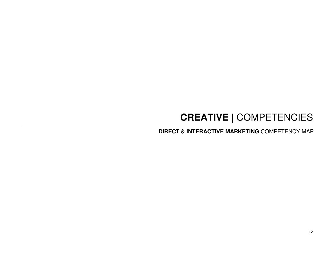## **CREATIVE** | COMPETENCIES

**DIRECT & INTERACTIVE MARKETING** COMPETENCY MAP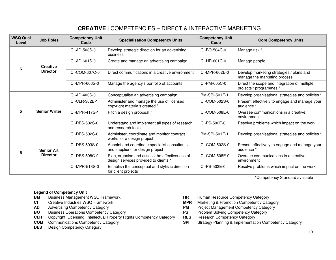## **CREATIVE** | COMPETENCIES – DIRECT & INTERACTIVE MARKETING

| <b>WSQ Qual</b><br>Level | <b>Job Roles</b>     | <b>Competency Unit</b><br>Code | <b>Specialisation Competency Units</b>                                                  | <b>Competency Unit</b><br>Code | <b>Core Competency Units</b>                                             |
|--------------------------|----------------------|--------------------------------|-----------------------------------------------------------------------------------------|--------------------------------|--------------------------------------------------------------------------|
|                          |                      | CI-AD-503S-0                   | Develop strategic direction for an advertising<br>business                              | CI-BO-504C-0                   | Manage risk *                                                            |
| 6                        | <b>Creative</b>      | $CI-AD-601S-0$                 | Create and manage an advertising campaign                                               | CI-HR-601C-0                   | Manage people                                                            |
|                          | <b>Director</b>      | CI-COM-607C-0                  | Direct communications in a creative environment                                         | CI-MPR-602E-0                  | Develop marketing strategies / plans and<br>manage the marketing process |
|                          |                      | CI-MPR-606S-0                  | Manage the agency's portfolio of accounts                                               | CI-PM-605C-0                   | Direct the scope and integration of multiple<br>projects / programmes *  |
|                          |                      | CI-AD-403S-0                   | Conceptualise an advertising campaign                                                   | BM-SPI-501E-1                  | Develop organisational strategies and policies *                         |
| 5                        | <b>Senior Writer</b> | CI-CLR-302E-1                  | Administer and manage the use of licensed<br>copyright materials created *              | CI-COM-502S-0                  | Present effectively to engage and manage your<br>audience *              |
|                          |                      | CI-MPR-417S-1                  | Pitch a design proposal *                                                               | CI-COM-508E-0                  | Oversee communications in a creative<br>environment                      |
|                          |                      | CI-RES-502S-0                  | Understand and implement all types of research<br>and research tools                    | CI-PS-502E-0                   | Resolve problems which impact on the work                                |
| 5                        |                      | CI-DES-502S-0                  | Administer, coordinate and monitor contract<br>works for a design project               | BM-SPI-501E-1                  | Develop organisational strategies and policies *                         |
|                          | <b>Senior Art</b>    | CI-DES-503S-0                  | Appoint and coordinate specialist consultants<br>and suppliers for design project       | CI-COM-502S-0                  | Present effectively to engage and manage your<br>audience *              |
|                          | <b>Director</b>      | CI-DES-508C-0                  | Plan, organise and assess the effectiveness of<br>design services provided to clients * | CI-COM-508E-0                  | Oversee communications in a creative<br>environment                      |
|                          |                      | CI-MPR-513S-0                  | Establish the conceptual and stylistic direction<br>for client projects                 | CI-PS-502E-0                   | Resolve problems which impact on the work                                |

\*Competency Standard available

- **Business Management WSQ Framework BM** Business Management WSQ Framework **HR** Human Resource Competency Category
- 
- 
- 
- **BO** Business Operations Competency Category **PS** Problem Solving Competency Category **PS** Problem Solving Competency Category **CLR** Copyright, Licensing, Intellectual Property Rights Competency Category **RES** Research Com **CLR** Copyright, Licensing, Intellectual Property Rights Competency Category RES
- 
- **DES** Design Competency Category
- 
- **CI** Creative Industries WSQ Framework **MDR** Marketing & Promotion Competency Category
- **AD** Advertising Competency Category<br> **BO** Business Operations Competency Category<br> **PS** Problem Solving Competency Category
	-
	-
- **COM** Communications Competency Category **SPI** Strategy Planning & Implementation Competency Category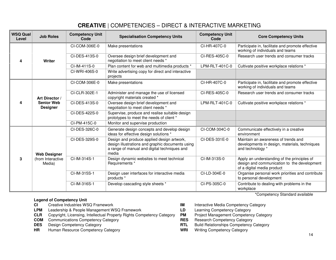### **CREATIVE** | COMPETENCIES – DIRECT & INTERACTIVE MARKETING

| <b>WSQ Qual</b><br>Level | <b>Job Roles</b>                     | <b>Competency Unit</b><br>Code | <b>Specialisation Competency Units</b>                                                                                                                  | <b>Competency Unit</b><br>Code | <b>Core Competency Units</b>                                                                                             |
|--------------------------|--------------------------------------|--------------------------------|---------------------------------------------------------------------------------------------------------------------------------------------------------|--------------------------------|--------------------------------------------------------------------------------------------------------------------------|
|                          |                                      | CI-COM-306E-0                  | Make presentations                                                                                                                                      | CI-HR-407C-0                   | Participate in, facilitate and promote effective<br>working of individuals and teams                                     |
| 4                        | Writer                               | CI-DES-413S-0                  | Oversee design brief development and<br>negotiation to meet client needs *                                                                              | CI-RES-405C-0                  | Research user trends and consumer tracks                                                                                 |
|                          |                                      | CI-IM-411S-0                   | Plan content for web and multimedia products *                                                                                                          | LPM-RLT-401C-0                 | Cultivate positive workplace relations *                                                                                 |
|                          |                                      | CI-WRI-406S-0                  | Write advertising copy for direct and interactive<br>projects                                                                                           |                                |                                                                                                                          |
|                          |                                      | CI-COM-306E-0                  | Make presentations                                                                                                                                      | CI-HR-407C-0                   | Participate in, facilitate and promote effective<br>working of individuals and teams                                     |
|                          | Art Director /                       | CI-CLR-302E-1                  | Administer and manage the use of licensed<br>copyright materials created *                                                                              | CI-RES-405C-0                  | Research user trends and consumer tracks                                                                                 |
| 4                        | <b>Senior Web</b><br><b>Designer</b> | CI-DES-413S-0                  | Oversee design brief development and<br>negotiation to meet client needs *                                                                              | LPM-RLT-401C-0                 | Cultivate positive workplace relations *                                                                                 |
|                          |                                      | CI-DES-422S-0                  | Supervise, produce and realise suitable design<br>prototypes to meet the needs of client *                                                              |                                |                                                                                                                          |
|                          |                                      | CI-PM-415C-0                   | Monitor and supervise production                                                                                                                        |                                |                                                                                                                          |
|                          |                                      | CI-DES-326C-0                  | Generate design concepts and develop design<br>ideas for effective design solutions *                                                                   | CI-COM-304C-0                  | Communicate effectively in a creative<br>environment                                                                     |
|                          | <b>Web Designer</b>                  | CI-DES-329S-0                  | Design and produce applied design artwork,<br>design illustrations and graphic documents using<br>a range of manual and digital techniques and<br>media | CI-DES-331E-0                  | Maintain an awareness of trends and<br>developments in design, materials, techniques<br>and technology *                 |
| 3                        | (from Interactive<br>Media)          | CI-IM-314S-1                   | Design dynamic websites to meet technical<br>Requirements *                                                                                             | CI-IM-313S-0                   | Apply an understanding of the principles of<br>design and communication to the development<br>of a digital media product |
|                          |                                      | CI-IM-315S-1                   | Design user interfaces for interactive media<br>products *                                                                                              | CI-LD-304E-0                   | Organise personal work priorities and contribute<br>to personal development                                              |
|                          |                                      | CI-IM-316S-1                   | Develop cascading style sheets *                                                                                                                        | CI-PS-305C-0                   | Contribute to dealing with problems in the<br>workplace                                                                  |
|                          |                                      |                                |                                                                                                                                                         |                                | *Competency Standard available                                                                                           |

- Creative Industries WSQ Framework
- **CI** Creative Industries WSQ Framework **IM** Interactive Media Competency Category<br> **IM** Leadership & People Management WSQ Framework **ID** Learning Competency Category **LPM** Leadership & People Management WSQ Framework **LD**
- **CLR** Copyright, Licensing, Intellectual Property Rights Competency Category **PM** Project Management Competency Category
- **COM** Communications Competency Category **RES**
- **DES** Design Competency Category
- **HR** Human Resource Competency Category **WRI** Writing Competency Category
- 
- 
- Project Management Competency Category
- 
- **RTL** Build Relationships Competency Category
	-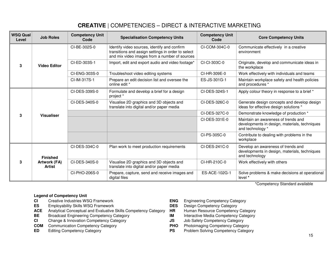### **CREATIVE** | COMPETENCIES – DIRECT & INTERACTIVE MARKETING

| <b>WSQ Qual</b><br>Level | <b>Job Roles</b>       | <b>Competency Unit</b><br>Code | <b>Specialisation Competency Units</b>                                                                                                              | <b>Competency Unit</b><br>Code | <b>Core Competency Units</b>                                                                             |
|--------------------------|------------------------|--------------------------------|-----------------------------------------------------------------------------------------------------------------------------------------------------|--------------------------------|----------------------------------------------------------------------------------------------------------|
|                          |                        | CI-BE-302S-0                   | Identify video sources, identify and confirm<br>transitions and assign settings in order to select<br>and mix video images from a number of sources | CI-COM-304C-0                  | Communicate effectively in a creative<br>environment                                                     |
| 3                        | <b>Video Editor</b>    | CI-ED-303S-1                   | Import, edit and export audio and video footage*                                                                                                    | CI-CI-303C-0                   | Originate, develop and communicate ideas in<br>the workplace                                             |
|                          |                        | CI-ENG-303S-0                  | Troubleshoot video editing systems                                                                                                                  | CI-HR-309E-0                   | Work effectively with individuals and teams                                                              |
|                          |                        | CI-IM-317S-1                   | Prepare an edit decision list and oversee the<br>online edit *                                                                                      | ES-JS-301G-1                   | Maintain workplace safety and health policies<br>and procedures *                                        |
|                          | <b>Visualiser</b>      | CI-DES-339S-0                  | Formulate and develop a brief for a design<br>project *                                                                                             | CI-DES-324S-1                  | Apply colour theory in response to a brief *                                                             |
|                          |                        | CI-DES-340S-0                  | Visualise 2D graphics and 3D objects and<br>translate into digital and/or paper media                                                               | CI-DES-326C-0                  | Generate design concepts and develop design<br>ideas for effective design solutions *                    |
| 3                        |                        |                                |                                                                                                                                                     | CI-DES-327C-0                  | Demonstrate knowledge of production *                                                                    |
|                          |                        |                                |                                                                                                                                                     | CI-DES-331E-0                  | Maintain an awareness of trends and<br>developments in design, materials, techniques<br>and technology * |
|                          |                        |                                |                                                                                                                                                     | CI-PS-305C-0                   | Contribute to dealing with problems in the<br>workplace                                                  |
| 3                        | <b>Finished</b>        | CI-DES-334C-0                  | Plan work to meet production requirements                                                                                                           | CI-DES-241C-0                  | Develop an awareness of trends and<br>developments in design, materials, techniques<br>and technology    |
|                          | Artwork (FA)<br>Artist | CI-DES-340S-0                  | Visualise 2D graphics and 3D objects and<br>translate into digital and/or paper media                                                               | CI-HR-210C-0                   | Work effectively with others                                                                             |
|                          |                        | CI-PHO-206S-0                  | Prepare, capture, send and receive images and<br>digital files                                                                                      | ES-ACE-102G-1                  | Solve problems & make decisions at operational<br>level *                                                |

\*Competency Standard available

- Creative Industries WSQ Framework **CI** Creative Industries WSQ Framework **ENG** Engineering Competency Category
- **ES** Employability Skills WSQ Framework **DES** Design Competency Category
- ACE Analytical Conceptual and Evaluative Skills Competency Category HR
- **BE** Broadcast Engineering Competency Category **IM** Interactive Media Competency Category
- 
- **COM** Communication Competency Category<br> **ED** Editing Competency Category<br> **PS**
- 
- 
- 
- **HR** Human Resource Competency Category
	-
- **CI** Change & Innovation Competency Category **JS** Job Safety Competency Category
	- Photoimaging Competency Category
- **ED** Editing Competency Category **PS** Problem Solving Competency Category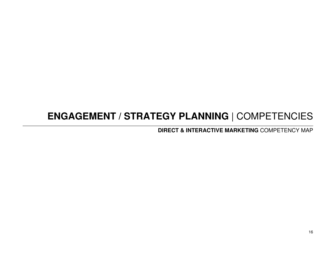## **ENGAGEMENT / STRATEGY PLANNING** | COMPETENCIES

**DIRECT & INTERACTIVE MARKETING** COMPETENCY MAP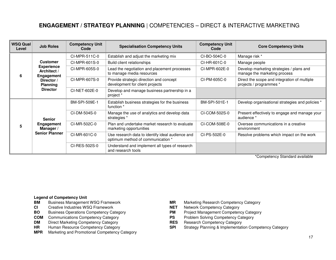### **ENGAGEMENT / STRATEGY PLANNING** | COMPETENCIES – DIRECT & INTERACTIVE MARKETING

| <b>WSQ Qual</b><br>Level | <b>Job Roles</b>                                                                                                      | <b>Competency Unit</b><br>Code | <b>Specialisation Competency Units</b>                                                | <b>Competency Unit</b><br>Code | <b>Core Competency Units</b>                                             |
|--------------------------|-----------------------------------------------------------------------------------------------------------------------|--------------------------------|---------------------------------------------------------------------------------------|--------------------------------|--------------------------------------------------------------------------|
|                          | <b>Customer</b><br><b>Experience</b><br>Architect /<br>Engagement<br>Director /<br><b>Planning</b><br><b>Director</b> | CI-MPR-511C-0                  | Establish and adjust the marketing mix                                                | CI-BO-504C-0                   | Manage risk *                                                            |
|                          |                                                                                                                       | CI-MPR-601S-0                  | Build client relationships                                                            | CI-HR-601C-0                   | Manage people                                                            |
| 6                        |                                                                                                                       | CI-MPR-605S-0                  | Lead the negotiation and placement processes<br>to manage media resources             | CI-MPR-602E-0                  | Develop marketing strategies / plans and<br>manage the marketing process |
|                          |                                                                                                                       | CI-MPR-607S-0                  | Provide strategic direction and concept<br>development for client projects            | CI-PM-605C-0                   | Direct the scope and integration of multiple<br>projects / programmes *  |
|                          |                                                                                                                       | CI-NET-602E-0                  | Develop and manage business partnership in a<br>project *                             |                                |                                                                          |
|                          | <b>Senior</b><br>Engagement<br>Manager /<br><b>Senior Planner</b>                                                     | BM-SPI-509E-1                  | Establish business strategies for the business<br>function *                          | BM-SPI-501E-1                  | Develop organisational strategies and policies *                         |
|                          |                                                                                                                       | CI-DM-504S-0                   | Manage the use of analytics and develop data<br>strategies *                          | CI-COM-502S-0                  | Present effectively to engage and manage your<br>audience *              |
|                          |                                                                                                                       | CI-MR-502C-0                   | Plan and undertake market research to evaluate<br>marketing opportunities             | CI-COM-508E-0                  | Oversee communications in a creative<br>environment                      |
|                          |                                                                                                                       | CI-MR-601C-0                   | Use research data to identify ideal audience and<br>optimum method of communication * | CI-PS-502E-0                   | Resolve problems which impact on the work                                |
|                          |                                                                                                                       | CI-RES-502S-0                  | Understand and implement all types of research<br>and research tools                  |                                |                                                                          |

\*Competency Standard available

- **Business Management WSQ Framework BM** Business Management WSQ Framework **MR** Marketing Research Competency Category
- **CI** Creative Industries WSQ Framework **NET**
- **BO** Business Operations Competency Category **PM**
- **COM** Communications Competency Category **PS**
- **DM** Direct Marketing Competency Category **RES**
- **HR** Human Resource Competency Category **SPI**
- **MPR** Marketing and Promotional Competency Category
- 
- 
- Network Competency Category<br>Project Management Competency Category
- Problem Solving Competency Category<br>Research Competency Category
- 
- tion Competency Category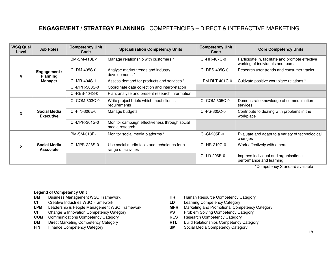## **ENGAGEMENT / STRATEGY PLANNING** | COMPETENCIES – DIRECT & INTERACTIVE MARKETING

| <b>WSQ Qual</b><br>Level | <b>Job Roles</b>                        | <b>Competency Unit</b><br>Code | <b>Specialisation Competency Units</b>                             | <b>Competency Unit</b><br>Code | <b>Core Competency Units</b>                                                         |
|--------------------------|-----------------------------------------|--------------------------------|--------------------------------------------------------------------|--------------------------------|--------------------------------------------------------------------------------------|
| 4                        | Engagement /<br><b>Planning</b>         | BM-SM-410E-1                   | Manage relationship with customers *                               | CI-HR-407C-0                   | Participate in, facilitate and promote effective<br>working of individuals and teams |
|                          |                                         | CI-DM-405S-0                   | Analyse market trends and industry<br>developments *               | CI-RES-405C-0                  | Research user trends and consumer tracks                                             |
|                          | <b>Manager</b>                          | CI-MR-404S-1                   | Assess demand for products and services *                          | LPM-RLT-401C-0                 | Cultivate positive workplace relations *                                             |
|                          |                                         | CI-MPR-508S-0                  | Coordinate data collection and interpretation                      |                                |                                                                                      |
|                          |                                         | CI-RES-404S-0                  | Plan, analyse and present research information                     |                                |                                                                                      |
| 3                        | <b>Social Media</b><br><b>Executive</b> | CI-COM-303C-0                  | Write project briefs which meet client's<br>requirements           | CI-COM-305C-0                  | Demonstrate knowledge of communication<br>services                                   |
|                          |                                         | CI-FIN-306E-0                  | Manage budgets                                                     | CI-PS-305C-0                   | Contribute to dealing with problems in the<br>workplace                              |
|                          |                                         | CI-MPR-301S-0                  | Monitor campaign effectiveness through social<br>media research    |                                |                                                                                      |
| 2                        | <b>Social Media</b><br><b>Associate</b> | BM-SM-313E-1                   | Monitor social media platforms *                                   | CI-CI-205E-0                   | Evaluate and adapt to a variety of technological<br>changes                          |
|                          |                                         | CI-MPR-228S-0                  | Use social media tools and techniques for a<br>range of activities | CI-HR-210C-0                   | Work effectively with others                                                         |
|                          |                                         |                                |                                                                    | CI-LD-206E-0                   | Improve individual and organisational<br>performance and learning                    |

\*Competency Standard available

- **Business Management WSQ Framework**
- **CI** Creative Industries WSQ Framework **LD** Learning Competency Category
- **LPM** Leadership & People Management WSQ Framework<br> **CI** Change & Innovation Competency Category **Category PS** Problem Solving Competency Category
- **CI** Change & Innovation Competency Category **PS** Problem Solving Competency Category **PS** Problem Solving Competency Category **PS** Problem Solving Competency Category
- **COM** Communications Competency Category **RES**
- 
- 
- **BM** Business Management WSQ Framework **HR** Human Resource Competency Category
	-
	- Marketing and Promotional Competency Category
	-
	-
- **DM** Direct Marketing Competency Category **RTL Build Relationships Competency Category**
- **FIN** Finance Competency Category **SM** Social Media Competency Category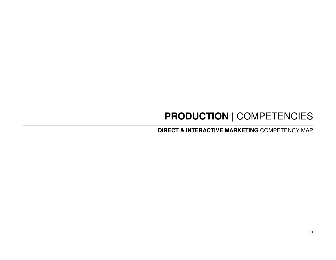## **PRODUCTION** | COMPETENCIES

**DIRECT & INTERACTIVE MARKETING** COMPETENCY MAP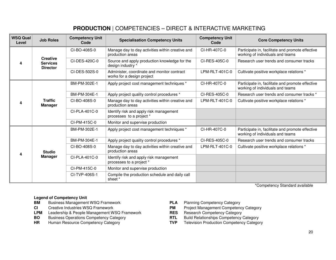## **PRODUCTION** | COMPETENCIES – DIRECT & INTERACTIVE MARKETING

| <b>WSQ Qual</b><br>Level | <b>Job Roles</b>                                      | <b>Competency Unit</b><br>Code | <b>Specialisation Competency Units</b>                                    | <b>Competency Unit</b><br>Code | <b>Core Competency Units</b>                                                         |
|--------------------------|-------------------------------------------------------|--------------------------------|---------------------------------------------------------------------------|--------------------------------|--------------------------------------------------------------------------------------|
| 4                        |                                                       | CI-BO-408S-0                   | Manage day to day activities within creative and<br>production areas      | CI-HR-407C-0                   | Participate in, facilitate and promote effective<br>working of individuals and teams |
|                          | <b>Creative</b><br><b>Services</b><br><b>Director</b> | CI-DES-420C-0                  | Source and apply production knowledge for the<br>design industry *        | CI-RES-405C-0                  | Research user trends and consumer tracks                                             |
|                          |                                                       | CI-DES-502S-0                  | Administer, coordinate and monitor contract<br>works for a design project | LPM-RLT-401C-0                 | Cultivate positive workplace relations *                                             |
|                          |                                                       | BM-PM-302E-1                   | Apply project cost management techniques *                                | CI-HR-407C-0                   | Participate in, facilitate and promote effective<br>working of individuals and teams |
|                          |                                                       | BM-PM-304E-1                   | Apply project quality control procedures *                                | CI-RES-405C-0                  | Research user trends and consumer tracks *                                           |
| 4                        | <b>Traffic</b><br><b>Manager</b>                      | CI-BO-408S-0                   | Manage day to day activities within creative and<br>production areas      | LPM-RLT-401C-0                 | Cultivate positive workplace relations *                                             |
|                          |                                                       | CI-PLA-401C-0                  | Identify risk and apply risk management<br>processes to a project *       |                                |                                                                                      |
|                          |                                                       | CI-PM-415C-0                   | Monitor and supervise production                                          |                                |                                                                                      |
|                          | <b>Studio</b>                                         | BM-PM-302E-1                   | Apply project cost management techniques *                                | CI-HR-407C-0                   | Participate in, facilitate and promote effective<br>working of individuals and teams |
|                          |                                                       | BM-PM-304E-1                   | Apply project quality control procedures *                                | CI-RES-405C-0                  | Research user trends and consumer tracks                                             |
| 4                        |                                                       | CI-BO-408S-0                   | Manage day to day activities within creative and<br>production areas      | LPM-RLT-401C-0                 | Cultivate positive workplace relations *                                             |
|                          | <b>Manager</b>                                        | CI-PLA-401C-0                  | Identify risk and apply risk management<br>processes to a project *       |                                |                                                                                      |
|                          |                                                       | CI-PM-415C-0                   | Monitor and supervise production                                          |                                |                                                                                      |
|                          |                                                       | CI-TVP-406S-1                  | Compile the production schedule and daily call<br>sheet *                 |                                |                                                                                      |

\*Competency Standard available

- **BM** Business Management WSQ Framework **PLA Planning Competency Category**
- 
- **LPM** Leadership & People Management WSQ Framework **RES** Research Competency Category
- **BO** Business Operations Competency Category
- 
- 
- **CI** Creative Industries WSQ Framework **PM** Project Management Competency Category
	-
	- Competency Category **RTL** Build Relationships Competency Category
- **HR** Human Resource Competency Category **TVP** Television Production Competency Category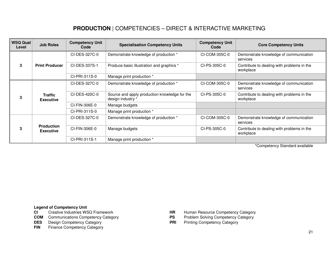## **PRODUCTION** | COMPETENCIES – DIRECT & INTERACTIVE MARKETING

| <b>WSQ Qual</b><br>Level | <b>Job Roles</b>                   | <b>Competency Unit</b><br>Code | <b>Specialisation Competency Units</b>                             | <b>Competency Unit</b><br>Code | <b>Core Competency Units</b>                            |
|--------------------------|------------------------------------|--------------------------------|--------------------------------------------------------------------|--------------------------------|---------------------------------------------------------|
| 3                        | <b>Print Producer</b>              | CI-DES-327C-0                  | Demonstrate knowledge of production *                              | CI-COM-305C-0                  | Demonstrate knowledge of communication<br>services      |
|                          |                                    | CI-DES-337S-1                  | Produce basic illustration and graphics *                          | CI-PS-305C-0                   | Contribute to dealing with problems in the<br>workplace |
|                          |                                    | CI-PRI-311S-0                  | Manage print production *                                          |                                |                                                         |
| 3                        | <b>Traffic</b><br><b>Executive</b> | CI-DES-327C-0                  | Demonstrate knowledge of production *                              | CI-COM-305C-0                  | Demonstrate knowledge of communication<br>services      |
|                          |                                    | CI-DES-420C-0                  | Source and apply production knowledge for the<br>design industry * | CI-PS-305C-0                   | Contribute to dealing with problems in the<br>workplace |
|                          |                                    | CI-FIN-306E-0                  | Manage budgets                                                     |                                |                                                         |
|                          |                                    | CI-PRI-311S-0                  | Manage print production *                                          |                                |                                                         |
| 3                        | <b>Production</b><br>Executive     | CI-DES-327C-0                  | Demonstrate knowledge of production *                              | CI-COM-305C-0                  | Demonstrate knowledge of communication<br>services      |
|                          |                                    | CI-FIN-306E-0                  | Manage budgets                                                     | CI-PS-305C-0                   | Contribute to dealing with problems in the<br>workplace |
|                          |                                    | CI-PRI-311S-1                  | Manage print production *                                          |                                |                                                         |

\*Competency Standard available

## **Legend of Competency Unit<br>CI** Creative Industries WS

- Creative Industries WSQ Framework
- **COM** Communications Competency Category
- **DES** Design Competency Category **PRI** Printing Competency Category
- **FIN** Finance Competency Category
- **FIR** Human Resource Competency Category<br>**PS** Problem Solving Competency Category
- 
-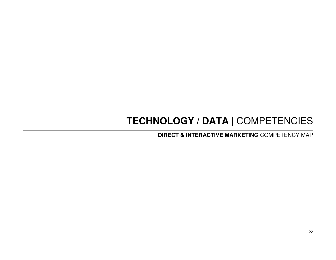## **TECHNOLOGY / DATA** | COMPETENCIES

**DIRECT & INTERACTIVE MARKETING** COMPETENCY MAP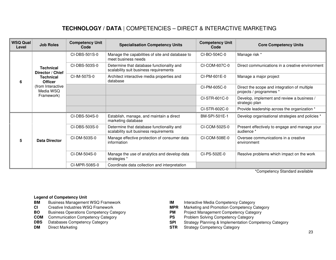## **TECHNOLOGY / DATA** | COMPETENCIES – DIRECT & INTERACTIVE MARKETING

| <b>WSQ Qual</b><br>Level | <b>Job Roles</b>                                                                                                           | <b>Competency Unit</b><br>Code | <b>Specialisation Competency Units</b>                                              | <b>Competency Unit</b><br>Code | <b>Core Competency Units</b>                                            |
|--------------------------|----------------------------------------------------------------------------------------------------------------------------|--------------------------------|-------------------------------------------------------------------------------------|--------------------------------|-------------------------------------------------------------------------|
| 6                        | <b>Technical</b><br>Director / Chief<br><b>Technical</b><br><b>Officer</b><br>(from Interactive<br>Media WSQ<br>Framework) | CI-DBS-501S-0                  | Manage the capabilities of site and database to<br>meet business needs              | CI-BO-504C-0                   | Manage risk *                                                           |
|                          |                                                                                                                            | CI-DBS-503S-0                  | Determine that database functionality and<br>scalability suit business requirements | CI-COM-607C-0                  | Direct communications in a creative environment                         |
|                          |                                                                                                                            | CI-IM-507S-0                   | Architect interactive media properties and<br>database                              | CI-PM-601E-0                   | Manage a major project                                                  |
|                          |                                                                                                                            |                                |                                                                                     | CI-PM-605C-0                   | Direct the scope and integration of multiple<br>projects / programmes * |
|                          |                                                                                                                            |                                |                                                                                     | CI-STR-601C-0                  | Develop, implement and review a business /<br>strategic plan            |
|                          |                                                                                                                            |                                |                                                                                     | CI-STR-602C-0                  | Provide leadership across the organization *                            |
| 5                        | <b>Data Director</b>                                                                                                       | CI-DBS-504S-0                  | Establish, manage, and maintain a direct<br>marketing database                      | BM-SPI-501E-1                  | Develop organisational strategies and policies *                        |
|                          |                                                                                                                            | CI-DBS-503S-0                  | Determine that database functionality and<br>scalability suit business requirements | CI-COM-502S-0                  | Present effectively to engage and manage your<br>audience *             |
|                          |                                                                                                                            | CI-DM-503S-0                   | Manage effective protection of consumer data<br>information                         | CI-COM-508E-0                  | Oversee communications in a creative<br>environment                     |
|                          |                                                                                                                            | CI-DM-504S-0                   | Manage the use of analytics and develop data<br>strategies *                        | CI-PS-502E-0                   | Resolve problems which impact on the work                               |
|                          |                                                                                                                            | CI-MPR-508S-0                  | Coordinate data collection and interpretation                                       |                                |                                                                         |

\*Competency Standard available

- **Business Management WSQ Framework BM** Business Management WSQ Framework **IM** Interactive Media Competency Category
- 
- 
- **COM** Communication Competency Category **PS** PS Databases Competency Category **PS PHS** SPI
- 
- 
- 
- CI Creative Industries WSQ Framework **MPR** Marketing and Promotion Competency Category
- **BO** Business Operations Competency Category **PM** Project Management Competency Category<br> **COM** Communication Competency Category **PS** Problem Solving Competency Category
	-
- **DBS** Databases Competency Category **SPI** Strategy Planning & Implementation Competency Category
- **DM** Direct Marketing **COM** Direct Marketing **STR** Strategy Competency Category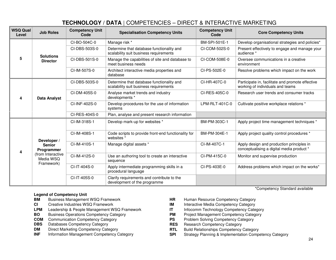## **TECHNOLOGY / DATA** | COMPETENCIES – DIRECT & INTERACTIVE MARKETING

| <b>WSQ Qual</b><br>Level | <b>Job Roles</b>                                                                                  | <b>Competency Unit</b><br><b>Specialisation Competency Units</b><br>Code |                                                                                     | <b>Competency Unit</b><br>Code | <b>Core Competency Units</b>                                                           |
|--------------------------|---------------------------------------------------------------------------------------------------|--------------------------------------------------------------------------|-------------------------------------------------------------------------------------|--------------------------------|----------------------------------------------------------------------------------------|
|                          | <b>Solutions</b><br><b>Director</b>                                                               | CI-BO-504C-0                                                             | Manage risk *                                                                       | BM-SPI-501E-1                  | Develop organisational strategies and policies*                                        |
|                          |                                                                                                   | CI-DBS-503S-0                                                            | Determine that database functionality and<br>scalability suit business requirements | CI-COM-502S-0                  | Present effectively to engage and manage your<br>audience *                            |
| 5                        |                                                                                                   | CI-DBS-501S-0                                                            | Manage the capabilities of site and database to<br>meet business needs              | CI-COM-508E-0                  | Oversee communications in a creative<br>environment                                    |
|                          |                                                                                                   | CI-IM-507S-0                                                             | Architect interactive media properties and<br>database                              | CI-PS-502E-0                   | Resolve problems which impact on the work                                              |
|                          |                                                                                                   | CI-DBS-503S-0                                                            | Determine that database functionality and<br>scalability suit business requirements | CI-HR-407C-0                   | Participate in, facilitate and promote effective<br>working of individuals and teams   |
| Δ                        | Data Analyst                                                                                      | CI-DM-405S-0                                                             | Analyse market trends and industry<br>developments *                                | CI-RES-405C-0                  | Research user trends and consumer tracks                                               |
|                          |                                                                                                   | CI-INF-402S-0                                                            | Develop procedures for the use of information<br>systems                            | LPM-RLT-401C-0                 | Cultivate positive workplace relations *                                               |
|                          |                                                                                                   | CI-RES-404S-0                                                            | Plan, analyse and present research information                                      |                                |                                                                                        |
|                          | Developer /<br><b>Senior</b><br><b>Programmer</b><br>(from Interactive<br>Media WSQ<br>Framework) | CI-IM-318S-1                                                             | Develop mark-up for websites *                                                      | BM-PM-303C-1                   | Apply project time management techniques *                                             |
|                          |                                                                                                   | CI-IM-408S-1                                                             | Code scripts to provide front-end functionality for<br>websites <sup>*</sup>        | BM-PM-304E-1                   | Apply project quality control procedures *                                             |
|                          |                                                                                                   | CI-IM-410S-1                                                             | Manage digital assets *                                                             | CI-IM-407C-1                   | Apply design and production principles in<br>conceptualising a digital media product * |
|                          |                                                                                                   | CI-IM-412S-0                                                             | Use an authoring tool to create an interactive<br>sequence                          | CI-PM-415C-0                   | Monitor and supervise production                                                       |
|                          |                                                                                                   | CI-IT-404S-0                                                             | Apply intermediate programming skills in a<br>procedural language                   | CI-PS-403E-0                   | Address problems which impact on the works*                                            |
|                          |                                                                                                   | CI-IT-405S-0                                                             | Clarify requirements and contribute to the<br>development of the programme          |                                |                                                                                        |
|                          |                                                                                                   |                                                                          |                                                                                     |                                | *Competency Standard available                                                         |

- **BM** Business Management WSQ Framework **HR** Human Resource Competency Category
- **CI** Creative Industries WSQ Framework **IM** Interactive Media Competency Category
- **LPM** Leadership & People Management WSQ Framework **IT**
- **BO** Business Operations Competency Category **PM** Project Management Competency Category
- 
- 
- **DM**
- **INF**
- 
- 
- Infocomm Technology Competency Category
- 
- **COM** Communication Competency Category **PS** Problem Solving Competency Category
- **DBS** Databases Competency Category<br> **DM** Direct Marketing Competency Category<br> **RTL** Build Relationships Competency (Category **RTL** Build Relationships Competency (
	- **M** Direct Marketing Competency Category **RTL** Build Relationships Competency Category **RTL** Build Relationships Competency Category
		- Information Management Competency Category **SPI** Strategy Planning & Implementation Competency Category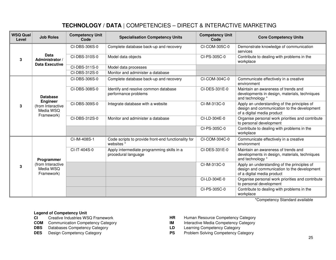## **TECHNOLOGY / DATA** | COMPETENCIES – DIRECT & INTERACTIVE MARKETING

| <b>WSQ Qual</b><br>Level | <b>Job Roles</b>                                                                   | <b>Competency Unit</b><br>Code | <b>Specialisation Competency Units</b>                                       | <b>Competency Unit</b><br>Code | <b>Core Competency Units</b>                                                                                             |
|--------------------------|------------------------------------------------------------------------------------|--------------------------------|------------------------------------------------------------------------------|--------------------------------|--------------------------------------------------------------------------------------------------------------------------|
| 3                        | Data<br>Administrator /<br>Data Executive                                          | CI-DBS-306S-0                  | Complete database back-up and recovery                                       | CI-COM-305C-0                  | Demonstrate knowledge of communication<br>services                                                                       |
|                          |                                                                                    | CI-DBS-310S-0                  | Model data objects                                                           | CI-PS-305C-0                   | Contribute to dealing with problems in the<br>workplace                                                                  |
|                          |                                                                                    | CI-DBS-311S-0                  | Model data processes                                                         |                                |                                                                                                                          |
|                          |                                                                                    | CI-DBS-312S-0                  | Monitor and administer a database                                            |                                |                                                                                                                          |
|                          |                                                                                    | CI-DBS-306S-0                  | Complete database back-up and recovery                                       | CI-COM-304C-0                  | Communicate effectively in a creative<br>environment                                                                     |
|                          | <b>Database</b><br><b>Engineer</b><br>(from Interactive<br>Media WSO<br>Framework) | CI-DBS-308S-0                  | Identify and resolve common database<br>performance problems                 | CI-DES-331E-0                  | Maintain an awareness of trends and<br>developments in design, materials, techniques<br>and technology *                 |
| 3                        |                                                                                    | CI-DBS-309S-0                  | Integrate database with a website                                            | CI-IM-313C-0                   | Apply an understanding of the principles of<br>design and communication to the development<br>of a digital media product |
|                          |                                                                                    | CI-DBS-312S-0                  | Monitor and administer a database                                            | CI-LD-304E-0                   | Organise personal work priorities and contribute<br>to personal development                                              |
|                          |                                                                                    |                                |                                                                              | CI-PS-305C-0                   | Contribute to dealing with problems in the<br>workplace                                                                  |
| 3                        | Programmer<br>(from Interactive<br>Media WSQ<br>Framework)                         | CI-IM-408S-1                   | Code scripts to provide front-end functionality for<br>websites <sup>*</sup> | CI-COM-304C-0                  | Communicate effectively in a creative<br>environment                                                                     |
|                          |                                                                                    | CI-IT-404S-0                   | Apply intermediate programming skills in a<br>procedural language            | CI-DES-331E-0                  | Maintain an awareness of trends and<br>developments in design, materials, techniques<br>and technology *                 |
|                          |                                                                                    |                                |                                                                              | CI-IM-313C-0                   | Apply an understanding of the principles of<br>design and communication to the development<br>of a digital media product |
|                          |                                                                                    |                                |                                                                              | CI-LD-304E-0                   | Organise personal work priorities and contribute<br>to personal development                                              |
|                          |                                                                                    |                                |                                                                              | CI-PS-305C-0                   | Contribute to dealing with problems in the<br>workplace                                                                  |

\*Competency Standard available

- Creative Industries WSQ Framework
- **COM** Communication Competency Category **IM** Interactive Media Competency C<br> **DBS** Databases Competency Category **IM** Learning Competency Category
- **DBS** Databases Competency Category
- 
- **CI** Creative Industries WSQ Framework **HR** Human Resource Competency Category
	- Interactive Media Competency Category
	-
- **DES** Design Competency Category **PS** Problem Solving Competency Category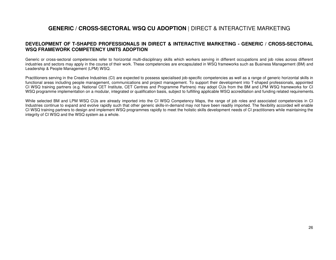### **GENERIC / CROSS-SECTORAL WSQ CU ADOPTION** | DIRECT & INTERACTIVE MARKETING

### **DEVELOPMENT OF T-SHAPED PROFESSIONALS IN DIRECT & INTERACTIVE MARKETING - GENERIC / CROSS-SECTORAL WSQ FRAMEWORK COMPETENCY UNITS ADOPTION**

Generic or cross-sectoral competencies refer to horizontal multi-disciplinary skills which workers serving in different occupations and job roles across different industries and sectors may apply in the course of their work. These competencies are encapsulated in WSQ frameworks such as Business Management (BM) and Leadership & People Management (LPM) WSQ.

Practitioners serving in the Creative Industries (CI) are expected to possess specialised job-specific competencies as well as a range of generic horizontal skills in functional areas including people management, communications and project management. To support their development into T-shaped professionals, appointed CI WSQ training partners (e.g. National CET Institute, CET Centres and Programme Partners) may adopt CUs from the BM and LPM WSQ frameworks for CI WSQ programme implementation on a modular, integrated or qualification basis, subject to fulfilling applicable WSQ accreditation and funding related requirements.

While selected BM and LPM WSQ CUs are already imported into the CI WSQ Competency Maps, the range of job roles and associated competencies in CI Industries continue to expand and evolve rapidly such that other generic skills-in-demand may not have been readily imported. The flexibility accorded will enable CI WSQ training partners to design and implement WSQ programmes rapidly to meet the holistic skills development needs of CI practitioners while maintaining the integrity of CI WSQ and the WSQ system as a whole.